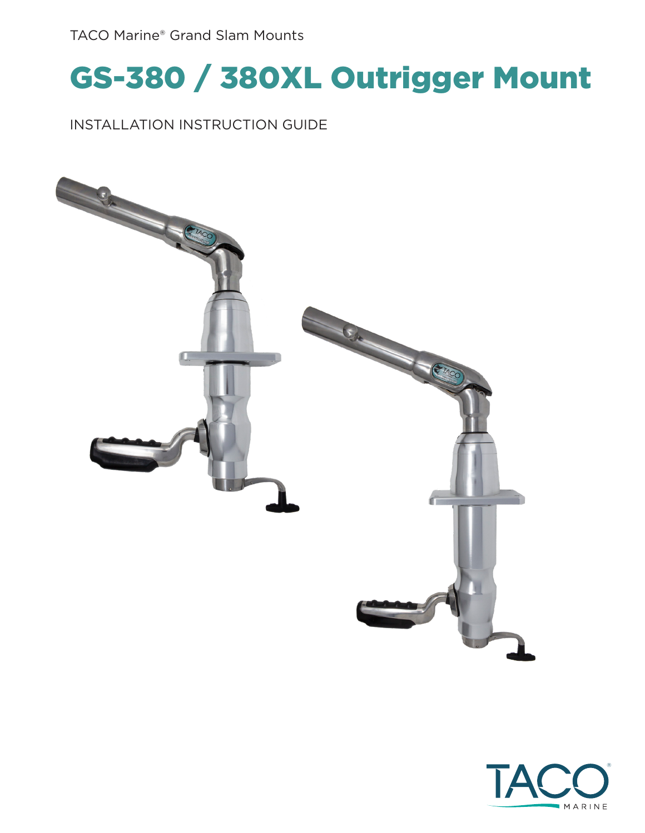#### TACO Marine® Grand Slam Mounts

### GS-380 / 380XL Outrigger Mount

#### INSTALLATION INSTRUCTION GUIDE



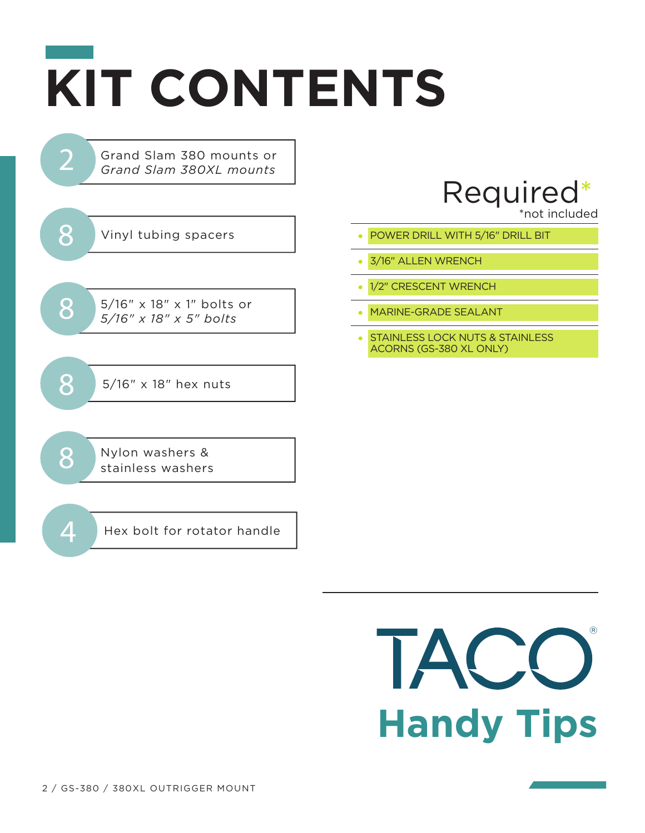# **KIT CONTENTS**

Grand Slam 380 mounts or *Grand Slam 380XL mounts*



2

 $8^{5/16'' \times 18'' \times 1''}$  bolts or  $5/16'' \times 18'' \times 5''$  bolts

8 5/16" x 18" hex nuts

8 Nylon washers & stainless washers

 $\overline{4}$  Hex bolt for rotator handle

### Required\*

\*not included

- 
- 3/16" ALLEN WRENCH
- 1/2" CRESCENT WRENCH
- MARINE-GRADE SEALANT
- STAINLESS LOCK NUTS & STAINLESS ACORNS (GS-380 XL ONLY)

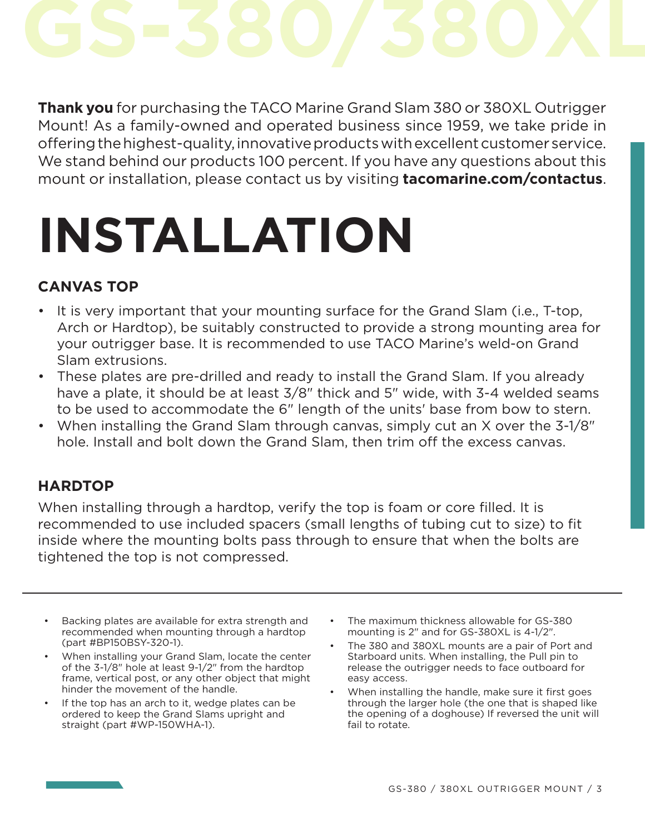**Thank you** for purchasing the TACO Marine Grand Slam 380 or 380XL Outrigger Mount! As a family-owned and operated business since 1959, we take pride in offering the highest-quality, innovative products with excellent customer service. We stand behind our products 100 percent. If you have any questions about this mount or installation, please contact us by visiting **tacomarine.com/contactus**.

## **INSTALLATION**

#### **CANVAS TOP**

- It is very important that your mounting surface for the Grand Slam (i.e., T-top, Arch or Hardtop), be suitably constructed to provide a strong mounting area for your outrigger base. It is recommended to use TACO Marine's weld-on Grand Slam extrusions.
- These plates are pre-drilled and ready to install the Grand Slam. If you already have a plate, it should be at least 3/8" thick and 5" wide, with 3-4 welded seams to be used to accommodate the 6" length of the units' base from bow to stern.
- When installing the Grand Slam through canvas, simply cut an X over the 3-1/8" hole. Install and bolt down the Grand Slam, then trim off the excess canvas.

#### **HARDTOP**

When installing through a hardtop, verify the top is foam or core filled. It is recommended to use included spacers (small lengths of tubing cut to size) to fit inside where the mounting bolts pass through to ensure that when the bolts are tightened the top is not compressed.

- Backing plates are available for extra strength and recommended when mounting through a hardtop (part #BP150BSY-320-1).
- When installing your Grand Slam, locate the center of the 3-1/8" hole at least 9-1/2" from the hardtop frame, vertical post, or any other object that might hinder the movement of the handle.
- If the top has an arch to it, wedge plates can be ordered to keep the Grand Slams upright and straight (part #WP-150WHA-1).
- The maximum thickness allowable for GS-380 mounting is 2" and for GS-380XL is 4-1/2".
- The 380 and 380XL mounts are a pair of Port and Starboard units. When installing, the Pull pin to release the outrigger needs to face outboard for easy access.
- When installing the handle, make sure it first goes through the larger hole (the one that is shaped like the opening of a doghouse) If reversed the unit will fail to rotate.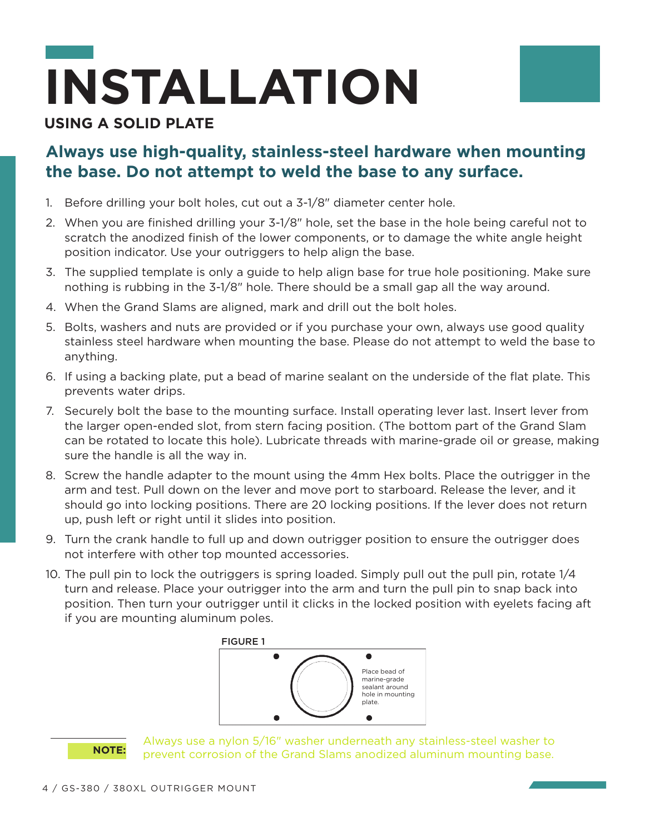# **INSTALLATION**

#### **USING A SOLID PLATE**

#### **Always use high-quality, stainless-steel hardware when mounting the base. Do not attempt to weld the base to any surface.**

- 1. Before drilling your bolt holes, cut out a 3-1/8" diameter center hole.
- 2. When you are finished drilling your 3-1/8" hole, set the base in the hole being careful not to scratch the anodized finish of the lower components, or to damage the white angle height position indicator. Use your outriggers to help align the base.
- 3. The supplied template is only a guide to help align base for true hole positioning. Make sure nothing is rubbing in the 3-1/8" hole. There should be a small gap all the way around.
- 4. When the Grand Slams are aligned, mark and drill out the bolt holes.
- 5. Bolts, washers and nuts are provided or if you purchase your own, always use good quality stainless steel hardware when mounting the base. Please do not attempt to weld the base to anything.
- 6. If using a backing plate, put a bead of marine sealant on the underside of the flat plate. This prevents water drips.
- 7. Securely bolt the base to the mounting surface. Install operating lever last. Insert lever from the larger open-ended slot, from stern facing position. (The bottom part of the Grand Slam can be rotated to locate this hole). Lubricate threads with marine-grade oil or grease, making sure the handle is all the way in.
- 8. Screw the handle adapter to the mount using the 4mm Hex bolts. Place the outrigger in the arm and test. Pull down on the lever and move port to starboard. Release the lever, and it should go into locking positions. There are 20 locking positions. If the lever does not return up, push left or right until it slides into position.
- 9. Turn the crank handle to full up and down outrigger position to ensure the outrigger does not interfere with other top mounted accessories.
- 10. The pull pin to lock the outriggers is spring loaded. Simply pull out the pull pin, rotate 1/4 turn and release. Place your outrigger into the arm and turn the pull pin to snap back into position. Then turn your outrigger until it clicks in the locked position with eyelets facing aft if you are mounting aluminum poles.





Always use a nylon 5/16" washer underneath any stainless-steel washer to prevent corrosion of the Grand Slams anodized aluminum mounting base.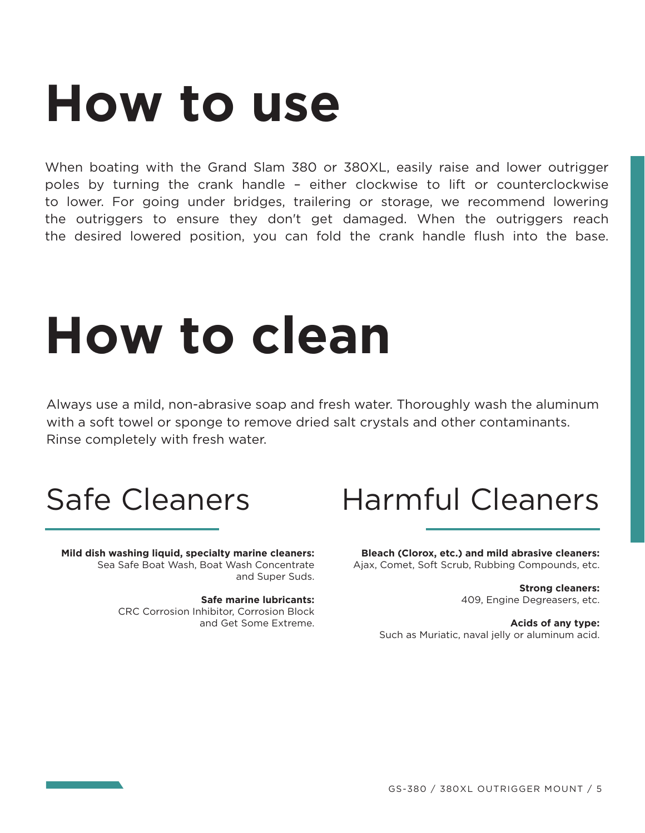### **How to use**

When boating with the Grand Slam 380 or 380XL, easily raise and lower outrigger poles by turning the crank handle – either clockwise to lift or counterclockwise to lower. For going under bridges, trailering or storage, we recommend lowering the outriggers to ensure they don't get damaged. When the outriggers reach the desired lowered position, you can fold the crank handle flush into the base.

## **How to clean**

Always use a mild, non-abrasive soap and fresh water. Thoroughly wash the aluminum with a soft towel or sponge to remove dried salt crystals and other contaminants. Rinse completely with fresh water.

**Mild dish washing liquid, specialty marine cleaners:**  Sea Safe Boat Wash, Boat Wash Concentrate and Super Suds.

> **Safe marine lubricants:**  CRC Corrosion Inhibitor, Corrosion Block and Get Some Extreme.

### Safe Cleaners Harmful Cleaners

**Bleach (Clorox, etc.) and mild abrasive cleaners:** Ajax, Comet, Soft Scrub, Rubbing Compounds, etc.

> **Strong cleaners:** 409, Engine Degreasers, etc.

**Acids of any type:** Such as Muriatic, naval jelly or aluminum acid.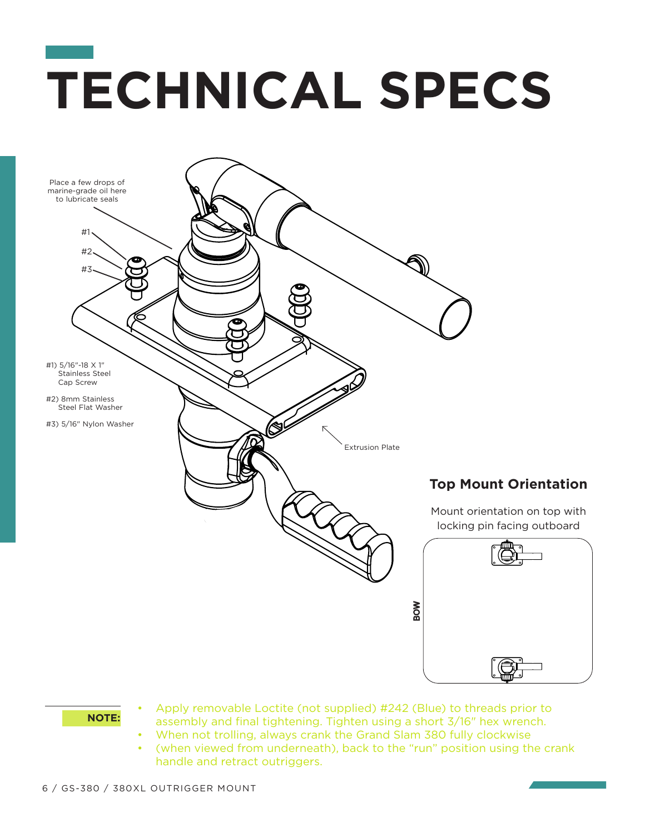## **TECHNICAL SPECS**



- **NOTE:** Apply removable Loctite (not supplied) #242 (Blue) to threads prior to **NOTE:** assembly and final tightening. Tighten using a short 3/16" hex wrench.
	- When not trolling, always crank the Grand Slam 380 fully clockwise
	- (when viewed from underneath), back to the "run" position using the crank handle and retract outriggers.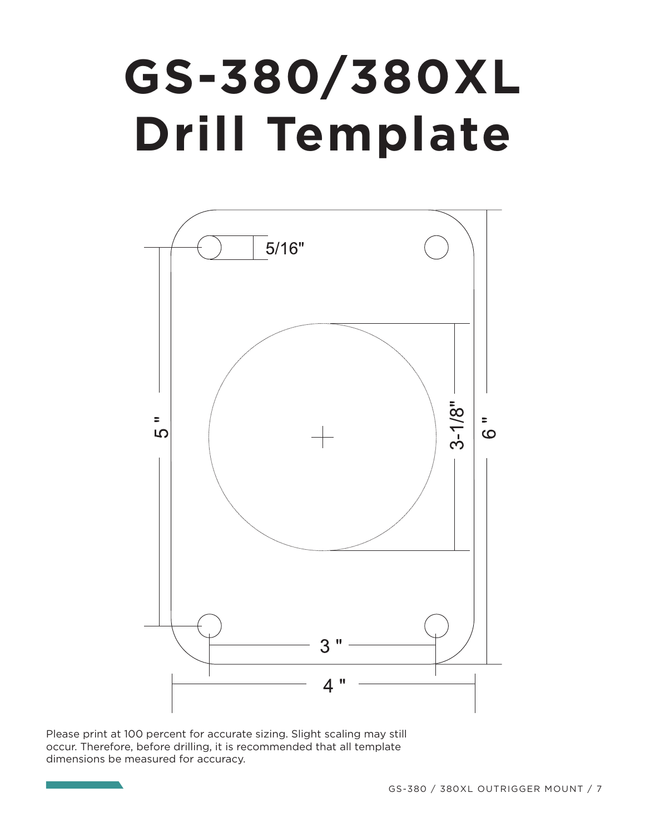#### **GS-380/380XL** Drill Template *Note: Please print at 100% for accurate sizing. Due to the nature of printing, slight scaling may still occur.*  ROXI **Samuel Struck**



Please print at 100 percent for accurate sizing. Slight scaling may still occur. Therefore, before drilling, it is recommended that all template dimensions be measured for accuracy.